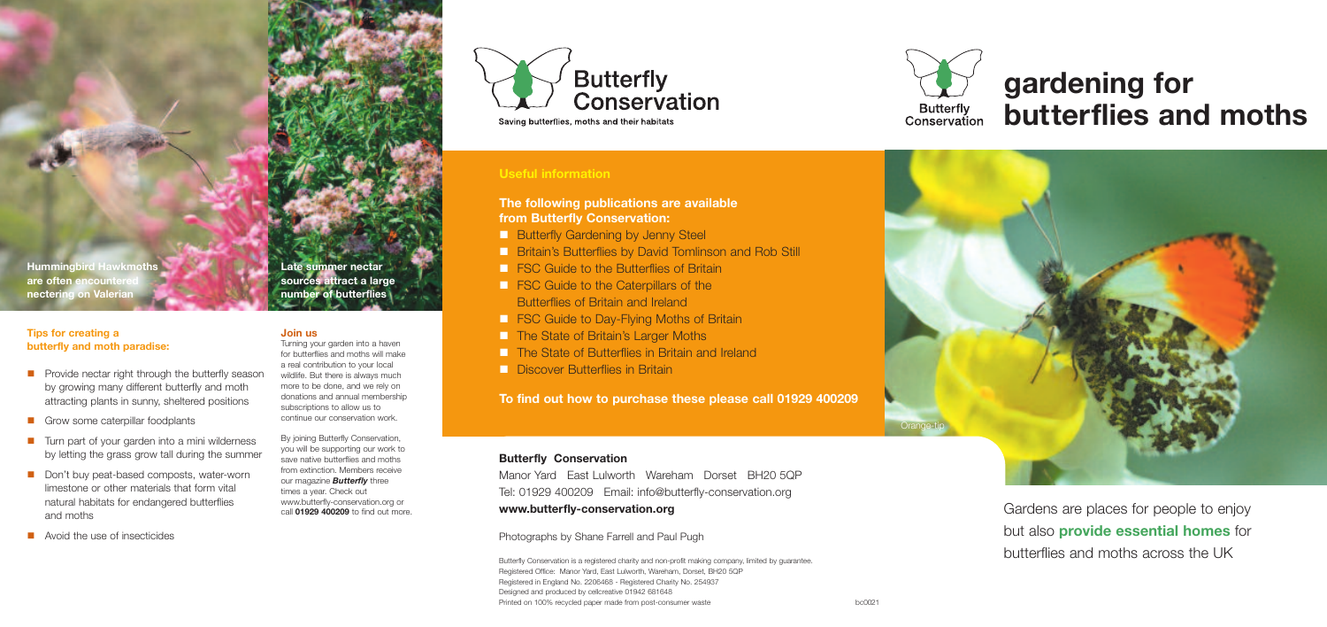**Hummingbird Hawkmoths are often encounter nectering on Valerian**

#### **Join us**

Turning your garden into a haven for butterflies and moths will make a real contribution to your local wildlife. But there is always much more to be done, and we rely on donations and annual membership subscriptions to allow us to continue our conservation work.

By joining Butterfly Conservation, you will be supporting our work to save native butterflies and moths from extinction. Members receive our magazine *Butterfly* three times a year. Check out www.butterfly-conservation.org or call **01929 400209** to find out more.

**Butterfly** Conservation Saving butterflies, moths and their habitats

## **Late summer nectar sources attract a large number of butterflies**

# **gardening for butterflies and moths**





**The following publications are available from Butterfly Conservation:** 

- **n Butterfly Gardening by Jenny Steel**
- **n Britain's Butterflies by David Tomlinson and Rob Still**
- **n FSC Guide to the Butterflies of Britain**
- **n FSC Guide to the Caterpillars of the** Butterflies of Britain and Ireland
- **n FSC Guide to Day-Flying Moths of Britain**
- **n The State of Britain's Larger Moths**
- n The State of Butterflies in Britain and Ireland
- n Discover Butterflies in Britain

**To find out how to purchase these please call 01929 400209**

## Orange-tip

Gardens are places for people to enjoy but also **provide essential homes** for butterflies and moths across the UK

## **Butterfly Conservation**

Manor Yard East Lulworth Wareham Dorset BH20 5QP Tel: 01929 400209 Email: info@butterfly-conservation.org **www.butterfly-conservation.org**

### Photographs by Shane Farrell and Paul Pugh

Butterfly Conservation is a registered charity and non-profit making company, limited by guarantee. Registered Office: Manor Yard, East Lulworth, Wareham, Dorset, BH20 5QP Registered in England No. 2206468 - Registered Charity No. 254937 Designed and produced by cellcreative 01942 681648 Printed on 100% recycled paper made from post-consumer waste bc0021



### **Tips for creating a butterfly and moth paradise:**

- $\blacksquare$  Provide nectar right through the butterfly season by growing many different butterfly and moth attracting plants in sunny, sheltered positions
- **n** Grow some caterpillar foodplants
- $\blacksquare$  Turn part of your garden into a mini wilderness by letting the grass grow tall during the summer
- Don't buy peat-based composts, water-worn limestone or other materials that form vital natural habitats for endangered butterflies and moths
- $\blacksquare$  Avoid the use of insecticides